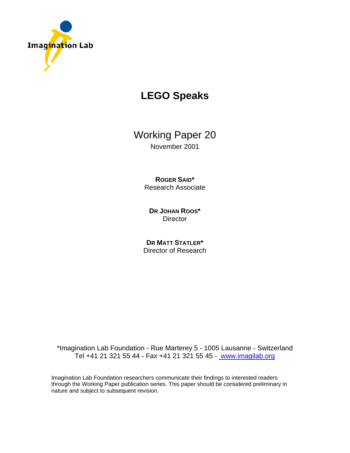

# **LEGO Speaks**

Working Paper 20 November 2001

> **ROGER SAID\***  Research Associate

**DR JOHAN ROOS\* Director** 

**DR MATT STATLER\***  Director of Research

\*Imagination Lab Foundation - Rue Marterey 5 - 1005 Lausanne - Switzerland Tel +41 21 321 55 44 - Fax +41 21 321 55 45 - www.imagilab.org

Imagination Lab Foundation researchers communicate their findings to interested readers through the Working Paper publication series. This paper should be considered preliminary in nature and subject to subsequent revision.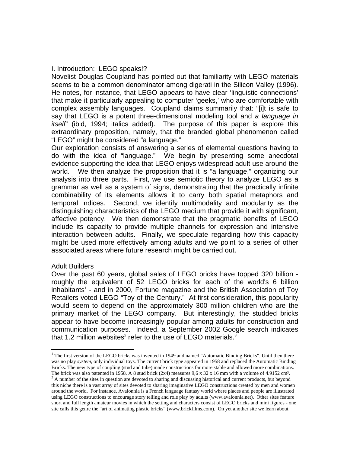## I. Introduction: LEGO speaks!?

Novelist Douglas Coupland has pointed out that familiarity with LEGO materials seems to be a common denominator among digerati in the Silicon Valley (1996). He notes, for instance, that LEGO appears to have clear 'linguistic connections' that make it particularly appealing to computer 'geeks,' who are comfortable with complex assembly languages. Coupland claims summarily that: "[i]t is safe to say that LEGO is a potent three-dimensional modeling tool and *a language in itself*" (ibid, 1994; italics added). The purpose of this paper is explore this extraordinary proposition, namely, that the branded global phenomenon called "LEGO" might be considered "a language."

Our exploration consists of answering a series of elemental questions having to do with the idea of "language." We begin by presenting some anecdotal evidence supporting the idea that LEGO enjoys widespread adult use around the world. We then analyze the proposition that it is "a language," organizing our analysis into three parts. First, we use semiotic theory to analyze LEGO as a grammar as well as a system of signs, demonstrating that the practically infinite combinability of its elements allows it to carry both spatial metaphors and temporal indices. Second, we identify multimodality and modularity as the distinguishing characteristics of the LEGO medium that provide it with significant, affective potency. We then demonstrate that the pragmatic benefits of LEGO include its capacity to provide multiple channels for expression and intensive interaction between adults. Finally, we speculate regarding how this capacity might be used more effectively among adults and we point to a series of other associated areas where future research might be carried out.

### Adult Builders

1

Over the past 60 years, global sales of LEGO bricks have topped 320 billion roughly the equivalent of 52 LEGO bricks for each of the world's 6 billion inhabitants<sup>1</sup> - and in 2000, Fortune magazine and the British Association of Toy Retailers voted LEGO "Toy of the Century." At first consideration, this popularity would seem to depend on the approximately 300 million children who are the primary market of the LEGO company. But interestingly, the studded bricks appear to have become increasingly popular among adults for construction and communication purposes. Indeed, a September 2002 Google search indicates that 1.2 million websites<sup>2</sup> refer to the use of LEGO materials.<sup>3</sup>

<sup>&</sup>lt;sup>1</sup> The first version of the LEGO bricks was invented in 1949 and named "Automatic Binding Bricks". Until then there was no play *system*, only individual toys. The current brick type appeared in 1958 and replaced the Automatic Binding Bricks. The new type of coupling (stud and tube) made constructions far more stable and allowed more combinations. The brick was also patented in 1958. A 8 stud brick  $(2x4)$  measures 9,6 x 32 x 16 mm with a volume of 4.9152 cm<sup>3</sup>.

<sup>&</sup>lt;sup>2</sup> A number of the sites in question are devoted to sharing and discussing historical and current products, but beyond this niche there is a vast array of sites devoted to sharing imaginative LEGO constructions created by men and women

around the world. For instance, Avalonnia is a French language fantasy world where places and people are illustrated using LEGO constructions to encourage story telling and role play by adults (www.avalonnia.net). Other sites feature short and full length amateur movies in which the setting and characters consist of LEGO bricks and mini figures - one site calls this genre the "art of animating plastic bricks" (www.brickfilms.com). On yet another site we learn about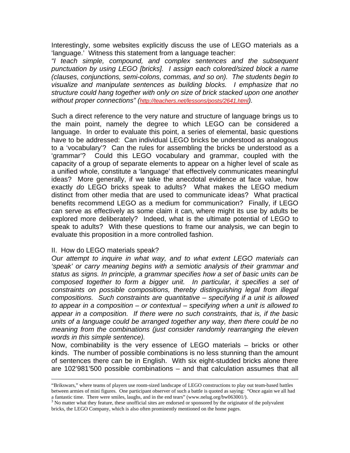Interestingly, some websites explicitly discuss the use of LEGO materials as a 'language.' Witness this statement from a language teacher:

*"I teach simple, compound, and complex sentences and the subsequent punctuation by using LEGO [bricks]. I assign each colored/sized block a name (clauses, conjunctions, semi-colons, commas, and so on). The students begin to visualize and manipulate sentences as building blocks. I emphasize that no structure could hang together with only on size of brick stacked upon one another without proper connections" (http://teachers.net/lessons/posts/2641.html).* 

Such a direct reference to the very nature and structure of language brings us to the main point, namely the degree to which LEGO can be considered a language. In order to evaluate this point, a series of elemental, basic questions have to be addressed: Can individual LEGO bricks be understood as analogous to a 'vocabulary'? Can the rules for assembling the bricks be understood as a 'grammar'? Could this LEGO vocabulary and grammar, coupled with the capacity of a group of separate elements to appear on a higher level of scale as a unified whole, constitute a 'language' that effectively communicates meaningful ideas? More generally, if we take the anecdotal evidence at face value, how exactly *do* LEGO bricks speak to adults? What makes the LEGO medium distinct from other media that are used to communicate ideas? What practical benefits recommend LEGO as a medium for communication? Finally, if LEGO can serve as effectively as some claim it can, where might its use by adults be explored more deliberately? Indeed, what is the ultimate potential of LEGO to speak to adults? With these questions to frame our analysis, we can begin to evaluate this proposition in a more controlled fashion.

### II. How do LEGO materials speak?

*Our attempt to inquire in what way, and to what extent LEGO materials can 'speak' or carry meaning begins with a semiotic analysis of their grammar and status as signs. In principle, a grammar specifies how a set of basic units can be composed together to form a bigger unit. In particular, it specifies a set of constraints on possible compositions, thereby distinguishing legal from illegal compositions. Such constraints are quantitative – specifying if a unit is allowed to appear in a composition – or contextual – specifying when a unit is allowed to appear in a composition. If there were no such constraints, that is, if the basic units of a language could be arranged together any way, then there could be no meaning from the combinations (just consider randomly rearranging the eleven words in this simple sentence).* 

Now, combinability is the very essence of LEGO materials – bricks or other kinds. The number of possible combinations is no less stunning than the amount of sentences there can be in English. With six eight-studded bricks alone there are 102'981'500 possible combinations – and that calculation assumes that all

 <sup>&</sup>quot;Brikswars," where teams of players use room-sized landscape of LEGO constructions to play out team-based battles between armies of mini figures. One participant observer of such a battle is quoted as saying: "Once again we all had a fantastic time. There were smiles, laughs, and in the end tears" (www.nelug.org/bw063001/).

<sup>&</sup>lt;sup>3</sup> No matter what they feature, these unofficial sites are endorsed or sponsored by the originator of the polyvalent bricks, the LEGO Company, which is also often prominently mentioned on the home pages.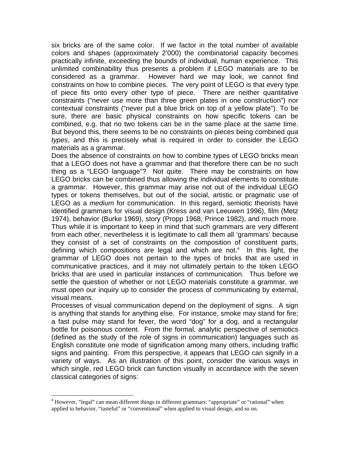six bricks are of the same color. If we factor in the total number of available colors and shapes (approximately 2'000) the combinatorial capacity becomes practically infinite, exceeding the bounds of individual, human experience. This unlimited combinability thus presents a problem if LEGO materials are to be considered as a grammar. However hard we may look, we cannot find constraints on how to combine pieces. The very point of LEGO is that every type of piece fits onto every other type of piece. There are neither quantitative constraints ("never use more than three green plates in one construction") nor contextual constraints ("never put a blue brick on top of a yellow plate"). To be sure, there are basic physical constraints on how specific tokens can be combined, e.g. that no two tokens can be in the same place at the same time. But beyond this, there seems to be no constraints on pieces being combined *qua types*, and this is precisely what is required in order to consider the LEGO materials as a grammar.

Does the absence of constraints on how to combine types of LEGO bricks mean that a LEGO does not have a grammar and that therefore there can be no such thing as a "LEGO language"? Not quite. There may be constraints on how LEGO bricks can be combined thus allowing the individual elements to constitute a grammar. However, this grammar may arise not out of the individual LEGO types or tokens themselves, but out of the social, artistic or pragmatic use of LEGO as a *medium* for communication. In this regard, semiotic theorists have identified grammars for visual design (Kress and van Leeuwen 1996), film (Metz 1974), behavior (Burke 1969), story (Propp 1968, Prince 1982), and much more. Thus while it is important to keep in mind that such grammars are very different from each other, nevertheless it is legitimate to call them all 'grammars' because they consist of a set of constraints on the composition of constituent parts, defining which compositions are legal and which are not. $4$  In this light, the grammar of LEGO does not pertain to the types of bricks that are used in communicative practices, and it may not ultimately pertain to the token LEGO bricks that are used in particular instances of communication. Thus before we settle the question of whether or not LEGO materials constitute a grammar, we must open our inquiry up to consider the process of communicating by external, visual means.

Processes of visual communication depend on the deployment of signs. A sign is anything that stands for anything else. For instance, smoke may stand for fire; a fast pulse may stand for fever, the word "dog" for a dog, and a rectangular bottle for poisonous content. From the formal, analytic perspective of semiotics (defined as the study of the role of signs in communication) languages such as English constitute one mode of signification among many others, including traffic signs and painting. From this perspective, it appears that LEGO can signify in a variety of ways. As an illustration of this point, consider the various ways in which single, red LEGO brick can function visually in accordance with the seven classical categories of signs:

 $\overline{\phantom{a}}$ 

<sup>&</sup>lt;sup>4</sup> However, "legal" can mean different things in different grammars: "appropriate" or "rational" when applied to behavior, "tasteful" or "conventional" when applied to visual design, and so on.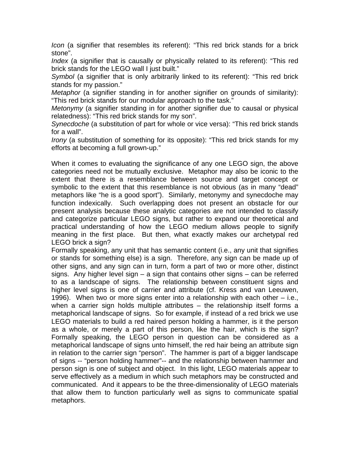*Icon* (a signifier that resembles its referent): "This red brick stands for a brick stone".

*Index* (a signifier that is causally or physically related to its referent): "This red brick stands for the LEGO wall I just built."

*Symbol* (a signifier that is only arbitrarily linked to its referent): "This red brick stands for my passion."

*Metaphor* (a signifier standing in for another signifier on grounds of similarity): "This red brick stands for our modular approach to the task."

*Metonymy* (a signifier standing in for another signifier due to causal or physical relatedness): "This red brick stands for my son".

*Synecdoche* (a substitution of part for whole or vice versa): "This red brick stands for a wall".

*Irony* (a substitution of something for its opposite): "This red brick stands for my efforts at becoming a full grown-up."

When it comes to evaluating the significance of any one LEGO sign, the above categories need not be mutually exclusive. Metaphor may also be iconic to the extent that there is a resemblance between source and target concept or symbolic to the extent that this resemblance is not obvious (as in many "dead" metaphors like "he is a good sport"). Similarly, metonymy and synecdoche may function indexically. Such overlapping does not present an obstacle for our present analysis because these analytic categories are not intended to classify and categorize particular LEGO signs, but rather to expand our theoretical and practical understanding of how the LEGO medium allows people to signify meaning in the first place. But then, what exactly makes our archetypal red LEGO brick a sign?

Formally speaking, any unit that has semantic content (i.e., any unit that signifies or stands for something else) is a sign. Therefore, any sign can be made up of other signs, and any sign can in turn, form a part of two or more other, distinct signs. Any higher level sign – a sign that contains other signs – can be referred to as a landscape of signs. The relationship between constituent signs and higher level signs is one of carrier and attribute (cf. Kress and van Leeuwen, 1996). When two or more signs enter into a relationship with each other – i.e., when a carrier sign holds multiple attributes – the relationship itself forms a metaphorical landscape of signs. So for example, if instead of a red brick we use LEGO materials to build a red haired person holding a hammer, is it the person as a whole, or merely a part of this person, like the hair, which is the sign? Formally speaking, the LEGO person in question can be considered as a metaphorical landscape of signs unto himself, the red hair being an attribute sign in relation to the carrier sign "person". The hammer is part of a bigger landscape of signs -- "person holding hammer"-- and the relationship between hammer and person sign is one of subject and object. In this light, LEGO materials appear to serve effectively as a medium in which such metaphors may be constructed and communicated. And it appears to be the three-dimensionality of LEGO materials that allow them to function particularly well as signs to communicate spatial metaphors.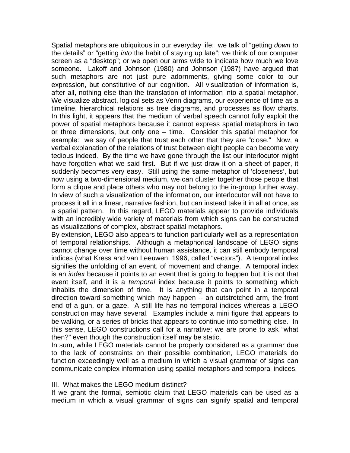Spatial metaphors are ubiquitous in our everyday life: we talk of "getting *down to* the details" or "getting *into* the habit of staying up late"; we think of our computer screen as a "desktop"; or we open our arms wide to indicate how much we love someone. Lakoff and Johnson (1980) and Johnson (1987) have argued that such metaphors are not just pure adornments, giving some color to our expression, but constitutive of our cognition. All visualization of information is, after all, nothing else than the translation of information into a spatial metaphor. We visualize abstract, logical sets as Venn diagrams, our experience of time as a timeline, hierarchical relations as tree diagrams, and processes as flow charts. In this light, it appears that the medium of verbal speech cannot fully exploit the power of spatial metaphors because it cannot express spatial metaphors in two or three dimensions, but only one – time. Consider this spatial metaphor for example: we say of people that trust each other that they are "close." Now, a verbal explanation of the relations of trust between eight people can become very tedious indeed. By the time we have gone through the list our interlocutor might have forgotten what we said first. But if we just draw it on a sheet of paper, it suddenly becomes very easy. Still using the same metaphor of 'closeness', but now using a two-dimensional medium, we can cluster together those people that form a clique and place others who may not belong to the in-group further away. In view of such a visualization of the information, our interlocutor will not have to process it all in a linear, narrative fashion, but can instead take it in all at once, as a spatial pattern. In this regard, LEGO materials appear to provide individuals with an incredibly wide variety of materials from which signs can be constructed as visualizations of complex, abstract spatial metaphors.

By extension, LEGO also appears to function particularly well as a representation of temporal relationships. Although a metaphorical landscape of LEGO signs cannot change over time without human assistance, it can still embody temporal indices (what Kress and van Leeuwen, 1996, called "vectors"). A temporal index signifies the unfolding of an event, of movement and change. A temporal index is an *index* because it points to an event that is going to happen but it is not that event itself, and it is a *temporal* index because it points to something which inhabits the dimension of time. It is anything that can point in a temporal direction toward something which may happen -- an outstretched arm, the front end of a gun, or a gaze. A still life has no temporal indices whereas a LEGO construction may have several. Examples include a mini figure that appears to be walking, or a series of bricks that appears to continue into something else. In this sense, LEGO constructions call for a narrative; we are prone to ask "what then?" even though the construction itself may be static.

In sum, while LEGO materials cannot be properly considered as a grammar due to the lack of constraints on their possible combination, LEGO materials do function exceedingly well as a medium in which a visual grammar of signs can communicate complex information using spatial metaphors and temporal indices.

### III. What makes the LEGO medium distinct?

If we grant the formal, semiotic claim that LEGO materials can be used as a medium in which a visual grammar of signs can signify spatial and temporal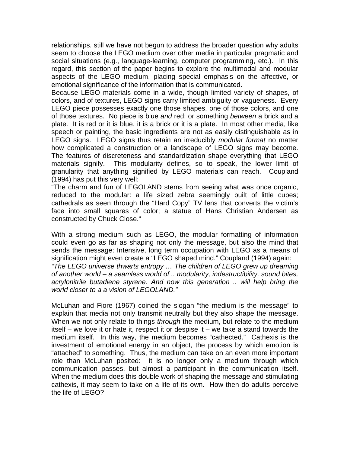relationships, still we have not begun to address the broader question why adults seem to choose the LEGO medium over other media in particular pragmatic and social situations (e.g., language-learning, computer programming, etc.). In this regard, this section of the paper begins to explore the multimodal and modular aspects of the LEGO medium, placing special emphasis on the affective, or emotional significance of the information that is communicated.

Because LEGO materials come in a wide, though limited variety of shapes, of colors, and of textures, LEGO signs carry limited ambiguity or vagueness. Every LEGO piece possesses exactly one those shapes, one of those colors, and one of those textures. No piece is blue *and* red; or something *between* a brick and a plate. It is red or it is blue, it is a brick or it is a plate. In most other media, like speech or painting, the basic ingredients are not as easily distinguishable as in LEGO signs. LEGO signs thus retain an irreducibly *modular format* no matter how complicated a construction or a landscape of LEGO signs may become. The features of discreteness and standardization shape everything that LEGO materials signify. This modularity defines, so to speak, the lower limit of granularity that anything signified by LEGO materials can reach. Coupland (1994) has put this very well:

"The charm and fun of LEGOLAND stems from seeing what was once organic, reduced to the modular: a life sized zebra seemingly built of little cubes; cathedrals as seen through the "Hard Copy" TV lens that converts the victim's face into small squares of color; a statue of Hans Christian Andersen as constructed by Chuck Close."

With a strong medium such as LEGO, the modular formatting of information could even go as far as shaping not only the message, but also the mind that sends the message: Intensive, long term occupation with LEGO as a means of signification might even create a "LEGO shaped mind." Coupland (1994) again: *"The LEGO universe thwarts entropy … The children of LEGO grew up dreaming of another world – a seamless world of .. modularity, indestructibility, sound bites, acrylonitrile butadiene styrene. And now this generation .. will help bring the world closer to a a vision of LEGOLAND."* 

McLuhan and Fiore (1967) coined the slogan "the medium is the message" to explain that media not only transmit neutrally but they also shape the message. When we not only relate to things *through* the medium, but relate to the medium itself – we love it or hate it, respect it or despise it – we take a stand towards the medium itself. In this way, the medium becomes "cathected." Cathexis is the investment of emotional energy in an object, the process by which emotion is "attached" to something. Thus, the medium can take on an even more important role than McLuhan posited: it is no longer only a medium through which communication passes, but almost a participant in the communication itself. When the medium does this double work of shaping the message and stimulating cathexis, it may seem to take on a life of its own. How then do adults perceive the life of LEGO?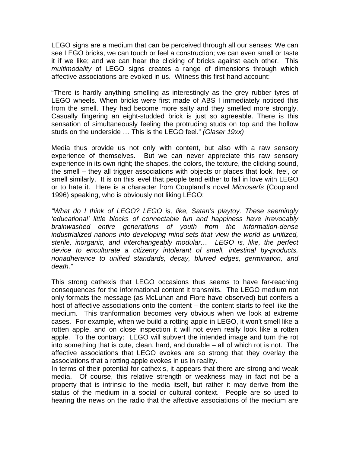LEGO signs are a medium that can be perceived through all our senses: We can see LEGO bricks, we can touch or feel a construction; we can even smell or taste it if we like; and we can hear the clicking of bricks against each other. This *multimodality* of LEGO signs creates a range of dimensions through which affective associations are evoked in us. Witness this first-hand account:

"There is hardly anything smelling as interestingly as the grey rubber tyres of LEGO wheels. When bricks were first made of ABS I immediately noticed this from the smell. They had become more salty and they smelled more strongly. Casually fingering an eight-studded brick is just so agreeable. There is this sensation of simultaneously feeling the protruding studs on top and the hollow studs on the underside … This is the LEGO feel." *(Glaser 19xx)* 

Media thus provide us not only with content, but also with a raw sensory experience of themselves. But we can never appreciate this raw sensory experience in its own right; the shapes, the colors, the texture, the clicking sound, the smell – they all trigger associations with objects or places that look, feel, or smell similarly. It is on this level that people tend either to fall in love with LEGO or to hate it. Here is a character from Coupland's novel *Microserfs* (Coupland 1996) speaking, who is obviously not liking LEGO:

*"What do I think of LEGO? LEGO is, like, Satan's playtoy. These seemingly 'educational' little blocks of connectable fun and happiness have irrevocably brainwashed entire generations of youth from the information-dense industrialized nations into developing mind-sets that view the world as unitized, sterile, inorganic, and interchangeably modular… LEGO is, like, the perfect device to enculturate a citizenry intolerant of smell, intestinal by-products, nonadherence to unified standards, decay, blurred edges, germination, and death."* 

This strong cathexis that LEGO occasions thus seems to have far-reaching consequences for the informational content it transmits. The LEGO medium not only formats the message (as McLuhan and Fiore have observed) but confers a host of affective associations onto the content – the content starts to feel like the medium. This tranformation becomes very obvious when we look at extreme cases. For example, when we build a rotting apple in LEGO, it won't smell like a rotten apple, and on close inspection it will not even really look like a rotten apple. To the contrary: LEGO will subvert the intended image and turn the rot into something that is cute, clean, hard, and durable – all of which rot is not. The affective associations that LEGO evokes are so strong that they overlay the associations that a rotting apple evokes in us in reality.

In terms of their potential for cathexis, it appears that there are strong and weak media. Of course, this relative strength or weakness may in fact not be a property that is intrinsic to the media itself, but rather it may derive from the status of the medium in a social or cultural context. People are so used to hearing the news on the radio that the affective associations of the medium are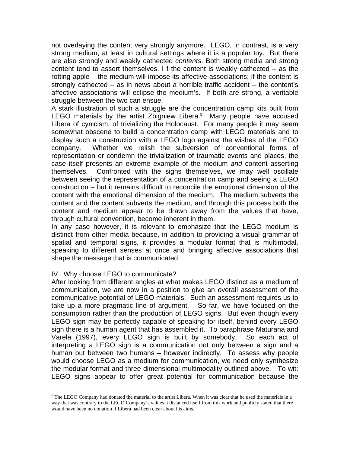not overlaying the content very strongly anymore. LEGO, in contrast, is a very strong medium, at least in cultural settings where it is a popular toy. But there are also strongly and weakly cathected *contents*. Both strong media and strong content tend to assert themselves. I f the content is weakly cathected – as the rotting apple – the medium will impose its affective associations; if the content is strongly cathected – as in news about a horrible traffic accident – the content's affective associations will eclipse the medium's. If both are strong, a veritable struggle between the two can ensue.

A stark illustration of such a struggle are the concentration camp kits built from LEGO materials by the artist Zbigniew Libera.<sup>5</sup> Many people have accused Libera of cynicism, of trivializing the Holocaust. For many people it may seem somewhat obscene to build a concentration camp with LEGO materials and to display such a construction with a LEGO logo against the wishes of the LEGO company. Whether we relish the subversion of conventional forms of representation or condemn the trivialization of traumatic events and places, the case itself presents an extreme example of the medium *and* content asserting themselves. Confronted with the signs themselves, we may well oscillate between seeing the representation of a concentration camp and seeing a LEGO construction – but it remains difficult to reconcile the emotional dimension of the content with the emotional dimension of the medium. The medium subverts the content and the content subverts the medium, and through this process both the content and medium appear to be drawn away from the values that have, through cultural convention, become inherent in them.

In any case however, it is relevant to emphasize that the LEGO medium is distinct from other media because, in addition to providing a visual grammar of spatial and temporal signs, it provides a modular format that is multimodal, speaking to different senses at once and bringing affective associations that shape the message that is communicated.

### IV. Why choose LEGO to communicate?

 $\overline{a}$ 

After looking from different angles at what makes LEGO distinct as a medium of communication, we are now in a position to give an overall assessment of the communicative potential of LEGO materials. Such an assessment requires us to take up a more pragmatic line of argument. So far, we have focused on the consumption rather than the production of LEGO signs. But even though every LEGO sign may be perfectly capable of speaking for itself, behind every LEGO sign there is a human agent that has assembled it. To paraphrase Maturana and Varela (1997), every LEGO sign is built by somebody. So each act of interpreting a LEGO sign is a communication not only between a sign and a human but between two humans – however indirectly. To assess why people would choose LEGO as a medium for communication, we need only synthesize the modular format and three-dimensional multimodality outlined above. To wit: LEGO signs appear to offer great potential for communication because the

 $<sup>5</sup>$  The LEGO Company had donated the material to the artist Libera. When it was clear that he used the materials in a</sup> way that was contrary to the LEGO Company's values it distanced itself from this work and publicly stated that there would have been no donation if Libera had been clear about his aims.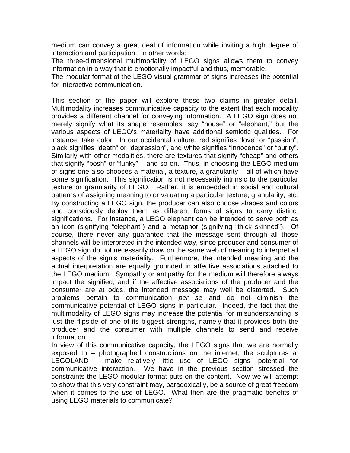medium can convey a great deal of information while inviting a high degree of interaction and participation. In other words:

The three-dimensional multimodality of LEGO signs allows them to convey information in a way that is emotionally impactful and thus, memorable.

The modular format of the LEGO visual grammar of signs increases the potential for interactive communication.

This section of the paper will explore these two claims in greater detail. Multimodality increases communicative capacity to the extent that each modality provides a different channel for conveying information. A LEGO sign does not merely signify what its shape resembles, say "house" or "elephant," but the various aspects of LEGO's materiality have additional semiotic qualities. For instance, take color. In our occidental culture, red signifies "love" or "passion", black signifies "death" or "depression", and white signifies "innocence" or "purity". Similarly with other modalities, there are textures that signify "cheap" and others that signify "posh" or "funky" – and so on. Thus, in choosing the LEGO medium of signs one also chooses a material, a texture, a granularity – all of which have some signification. This signification is not necessarily intrinsic to the particular texture or granularity of LEGO. Rather, it is embedded in social and cultural patterns of assigning meaning to or valuating a particular texture, granularity, etc. By constructing a LEGO sign, the producer can also choose shapes and colors and consciously deploy them as different forms of signs to carry distinct significations. For instance, a LEGO elephant can be intended to serve both as an icon (signifying "elephant") and a metaphor (signifying "thick skinned"). Of course, there never any guarantee that the message sent through all those channels will be interpreted in the intended way, since producer and consumer of a LEGO sign do not necessarily draw on the same web of meaning to interpret all aspects of the sign's materiality. Furthermore, the intended meaning and the actual interpretation are equally grounded in affective associations attached to the LEGO medium. Sympathy or antipathy for the medium will therefore always impact the signified, and if the affective associations of the producer and the consumer are at odds, the intended message may well be distorted. Such problems pertain to communication *per se* and do not diminish the communicative potential of LEGO signs in particular. Indeed, the fact that the multimodality of LEGO signs may increase the potential for misunderstanding is just the flipside of one of its biggest strengths, namely that it provides both the producer and the consumer with multiple channels to send and receive information.

In view of this communicative capacity, the LEGO signs that we are normally exposed to – photographed constructions on the internet, the sculptures at LEGOLAND – make relatively little use of LEGO signs' potential for communicative interaction. We have in the previous section stressed the constraints the LEGO modular format puts on the content. Now we will attempt to show that this very constraint may, paradoxically, be a source of great freedom when it comes to the *use* of LEGO. What then are the pragmatic benefits of using LEGO materials to communicate?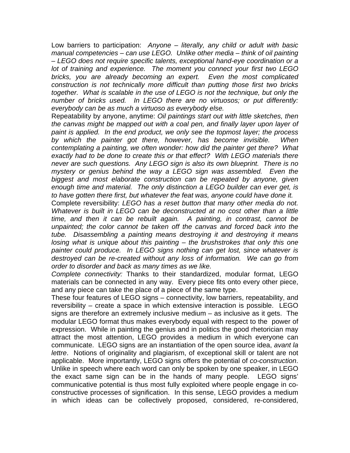Low barriers to participation: *Anyone – literally, any child or adult with basic manual competencies – can use LEGO. Unlike other media – think of oil painting – LEGO does not require specific talents, exceptional hand-eye coordination or a lot of training and experience. The moment you connect your first two LEGO bricks, you are already becoming an expert. Even the most complicated construction is not technically more difficult than putting those first two bricks together. What is scalable in the use of LEGO is not the technique, but only the number of bricks used. In LEGO there are no virtuosos; or put differently: everybody can be as much a virtuoso as everybody else.* 

Repeatability by anyone, anytime: *Oil paintings start out with little sketches, then the canvas might be mapped out with a coal pen, and finally layer upon layer of paint is applied. In the end product, we only see the topmost layer; the process by which the painter got there, however, has become invisible. When contemplating a painting, we often wonder: how did the painter get there? What exactly had to be done to create this or that effect? With LEGO materials there never are such questions. Any LEGO sign is also its own blueprint. There is no mystery or genius behind the way a LEGO sign was assembled. Even the biggest and most elaborate construction can be repeated by anyone, given enough time and material. The only distinction a LEGO builder can ever get, is to have gotten there first, but whatever the feat was, anyone could have done it.* 

Complete reversibility: *LEGO has a reset button that many other media do not. Whatever is built in LEGO can be deconstructed at no cost other than a little time, and then it can be rebuilt again. A painting, in contrast, cannot be*  unpainted; the color cannot be taken off the canvas and forced back into the *tube. Disassembling a painting means destroying it and destroying it means losing what is unique about this painting – the brushstrokes that only this one painter could produce. In LEGO signs nothing can get lost, since whatever is destroyed can be re-created without any loss of information. We can go from order to disorder and back as many times as we like.* 

*Complete connectivity:* Thanks to their standardized, modular format, LEGO materials can be connected in any way. Every piece fits onto every other piece, and any piece can take the place of a piece of the same type.

These four features of LEGO signs – connectivity, low barriers, repeatability, and reversibility – create a space in which extensive interaction is possible. LEGO signs are therefore an extremely inclusive medium – as inclusive as it gets. The modular LEGO format thus makes everybody equal with respect to the power of expression. While in painting the genius and in politics the good rhetorician may attract the most attention, LEGO provides a medium in which everyone can communicate. LEGO signs are an instantiation of the open source idea, *avant la lettre*. Notions of originality and plagiarism, of exceptional skill or talent are not applicable. More importantly, LEGO signs offers the potential of *co-construction*. Unlike in speech where each word can only be spoken by one speaker, in LEGO the exact same sign can be in the hands of many people. LEGO signs' communicative potential is thus most fully exploited where people engage in coconstructive processes of signification. In this sense, LEGO provides a medium in which ideas can be collectively proposed, considered, re-considered,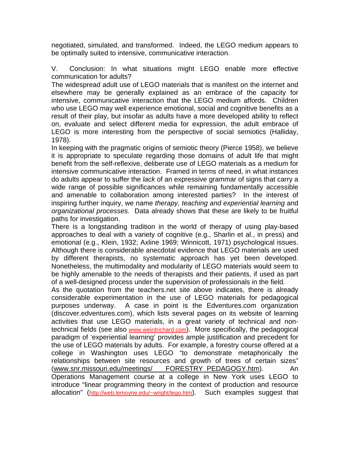negotiated, simulated, and transformed. Indeed, the LEGO medium appears to be optimally suited to intensive, communicative interaction.

V. Conclusion: In what situations might LEGO enable more effective communication for adults?

The widespread adult use of LEGO materials that is manifest on the internet and elsewhere may be generally explained as an embrace of the capacity for intensive, communicative interaction that the LEGO medium affords. Children who use LEGO may well experience emotional, social and cognitive benefits as a result of their play, but insofar as adults have a more developed ability to reflect on, evaluate and select different media for expression, the adult embrace of LEGO is more interesting from the perspective of social semiotics (Halliday, 1978).

In keeping with the pragmatic origins of semiotic theory (Pierce 1958), we believe it is appropriate to speculate regarding those domains of adult life that might benefit from the self-reflexive, deliberate use of LEGO materials as a medium for intensive communicative interaction. Framed in terms of need, in what instances do adults appear to suffer the *lack* of an expressive grammar of signs that carry a wide range of possible significances while remaining fundamentally accessible and amenable to collaboration among interested parties? In the interest of inspiring further inquiry, we name *therapy, teaching and experiential learning* and *organizational processes.* Data already shows that these are likely to be fruitful paths for investigation.

There is a longstanding tradition in the world of therapy of using play-based approaches to deal with a variety of cognitive (e.g., Sharlin et al., in press) and emotional (e.g., Klein, 1932; Axline 1969; Winnicott, 1971) psychological issues. Although there is considerable anecdotal evidence that LEGO materials are used by different therapists, no systematic approach has yet been developed. Nonetheless, the multimodality and modularity of LEGO materials would seem to be highly amenable to the needs of therapists and their patients, if used as part of a well-designed process under the supervision of professionals in the field.

As the quotation from the teachers.net site above indicates, there is already considerable experimentation in the use of LEGO materials for pedagogical purposes underway. A case in point is the Edventures.com organization (discover.edventures.com), which lists several pages on its website of learning activities that use LEGO materials, in a great variety of technical and nontechnical fields (see also www.weirdrichard.com). More specifically, the pedagogical paradigm of 'experiential learning' provides ample justification and precedent for the use of LEGO materials by adults. For example, a forestry course offered at a college in Washington uses LEGO "to demonstrate metaphorically the relationships between site resources and growth of trees of certain sizes" (www.snr.missouri.edu/meetings/ FORESTRY\_PEDAGOGY.htm). An Operations Management course at a college in New York uses LEGO to introduce "linear programming theory in the context of production and resource allocation" (http://web.lemoyne.edu/~wright/lego.htm). Such examples suggest that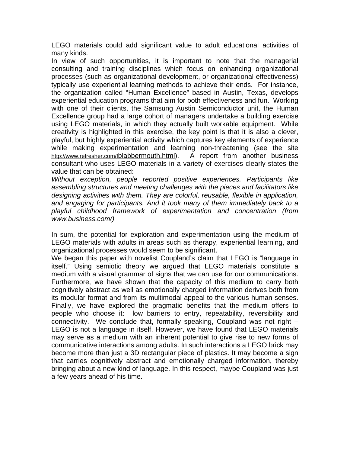LEGO materials could add significant value to adult educational activities of many kinds.

In view of such opportunities, it is important to note that the managerial consulting and training disciplines which focus on enhancing organizational processes (such as organizational development, or organizational effectiveness) typically use experiential learning methods to achieve their ends. For instance, the organization called "Human Excellence" based in Austin, Texas, develops experiential education programs that aim for both effectiveness and fun. Working with one of their clients, the Samsung Austin Semiconductor unit, the Human Excellence group had a large cohort of managers undertake a building exercise using LEGO materials, in which they actually built workable equipment. While creativity is highlighted in this exercise, the key point is that it is also a clever, playful, but highly experiential activity which captures key elements of experience while making experimentation and learning non-threatening (see the site http://www.refresher.com/!blabbermouth.html). A report from another business consultant who uses LEGO materials in a variety of exercises clearly states the value that can be obtained:

*Without exception, people reported positive experiences. Participants like assembling structures and meeting challenges with the pieces and facilitators like designing activities with them. They are colorful, reusable, flexible in application, and engaging for participants. And it took many of them immediately back to a playful childhood framework of experimentation and concentration (from www.business.com/)* 

In sum, the potential for exploration and experimentation using the medium of LEGO materials with adults in areas such as therapy, experiential learning, and organizational processes would seem to be significant.

We began this paper with novelist Coupland's claim that LEGO is "language in itself." Using semiotic theory we argued that LEGO materials constitute a medium with a visual grammar of signs that we can use for our communications. Furthermore, we have shown that the capacity of this medium to carry both cognitively abstract as well as emotionally charged information derives both from its modular format and from its multimodal appeal to the various human senses. Finally, we have explored the pragmatic benefits that the medium offers to people who choose it: low barriers to entry, repeatability, reversibility and connectivity. We conclude that, formally speaking, Coupland was not right – LEGO is not a language in itself. However, we have found that LEGO materials may serve as a medium with an inherent potential to give rise to new forms of communicative interactions among adults. In such interactions a LEGO brick may become more than just a 3D rectangular piece of plastics. It may become a sign that carries cognitively abstract and emotionally charged information, thereby bringing about a new kind of language. In this respect, maybe Coupland was just a few years ahead of his time.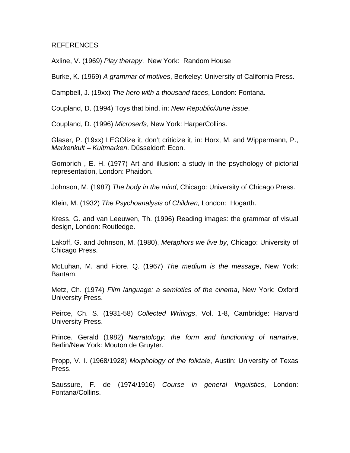### REFERENCES

Axline, V. (1969) *Play therapy*. New York: Random House

Burke, K. (1969) *A grammar of motives*, Berkeley: University of California Press.

Campbell, J. (19xx) *The hero with a thousand faces*, London: Fontana.

Coupland, D. (1994) Toys that bind, in: *New Republic/June issue*.

Coupland, D. (1996) *Microserfs*, New York: HarperCollins.

Glaser, P. (19xx) LEGOlize it, don't criticize it, in: Horx, M. and Wippermann, P., *Markenkult – Kultmarken*. Düsseldorf: Econ.

Gombrich , E. H. (1977) Art and illusion: a study in the psychology of pictorial representation, London: Phaidon.

Johnson, M. (1987) *The body in the mind*, Chicago: University of Chicago Press.

Klein, M. (1932) *The Psychoanalysis of Children,* London: Hogarth.

Kress, G. and van Leeuwen, Th. (1996) Reading images: the grammar of visual design, London: Routledge.

Lakoff, G. and Johnson, M. (1980), *Metaphors we live by*, Chicago: University of Chicago Press.

McLuhan, M. and Fiore, Q. (1967) *The medium is the message*, New York: Bantam.

Metz, Ch. (1974) *Film language: a semiotics of the cinema*, New York: Oxford University Press.

Peirce, Ch. S. (1931-58) *Collected Writings*, Vol. 1-8, Cambridge: Harvard University Press.

Prince, Gerald (1982) *Narratology: the form and functioning of narrative*, Berlin/New York: Mouton de Gruyter.

Propp, V. I. (1968/1928) *Morphology of the folktale*, Austin: University of Texas Press.

Saussure, F. de (1974/1916) *Course in general linguistics*, London: Fontana/Collins.